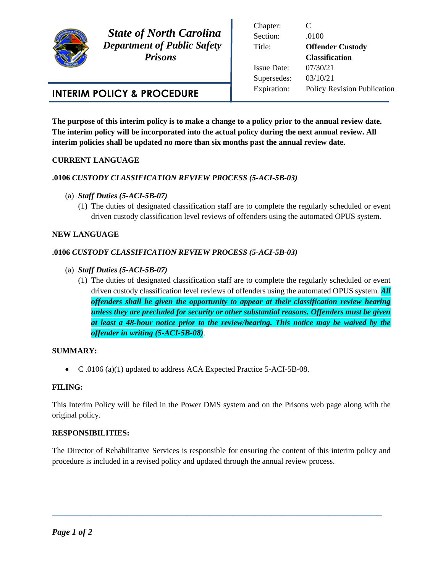

 *State of North Carolina Department of Public Safety Prisons* 

Chapter: C Section: .0100 Title: **Offender Custody Classification** Issue Date: 07/30/21 Supersedes: 03/10/21 Expiration: Policy Revision Publication

# **INTERIM POLICY & PROCEDURE**

**The purpose of this interim policy is to make a change to a policy prior to the annual review date. The interim policy will be incorporated into the actual policy during the next annual review. All interim policies shall be updated no more than six months past the annual review date.** 

## **CURRENT LANGUAGE**

## **.0106** *CUSTODY CLASSIFICATION REVIEW PROCESS (5-ACI-5B-03)*

- (a) *Staff Duties (5-ACI-5B-07)*
	- (1) The duties of designated classification staff are to complete the regularly scheduled or event driven custody classification level reviews of offenders using the automated OPUS system.

### **NEW LANGUAGE**

## **.0106** *CUSTODY CLASSIFICATION REVIEW PROCESS (5-ACI-5B-03)*

- (a) *Staff Duties (5-ACI-5B-07)*
	- (1) The duties of designated classification staff are to complete the regularly scheduled or event driven custody classification level reviews of offenders using the automated OPUS system. *All offenders shall be given the opportunity to appear at their classification review hearing unless they are precluded for security or other substantial reasons. Offenders must be given at least a 48-hour notice prior to the review/hearing. This notice may be waived by the offender in writing (5-ACI-5B-08)*.

#### **SUMMARY:**

C .0106 (a)(1) updated to address ACA Expected Practice 5-ACI-5B-08.

#### **FILING:**

This Interim Policy will be filed in the Power DMS system and on the Prisons web page along with the original policy.

#### **RESPONSIBILITIES:**

The Director of Rehabilitative Services is responsible for ensuring the content of this interim policy and procedure is included in a revised policy and updated through the annual review process.

**\_\_\_\_\_\_\_\_\_\_\_\_\_\_\_\_\_\_\_\_\_\_\_\_\_\_\_\_\_\_\_\_\_\_\_\_\_\_\_\_\_\_\_\_\_\_\_\_\_\_\_\_\_\_\_\_\_\_\_\_\_\_\_\_\_\_\_\_\_\_\_\_\_\_\_\_**